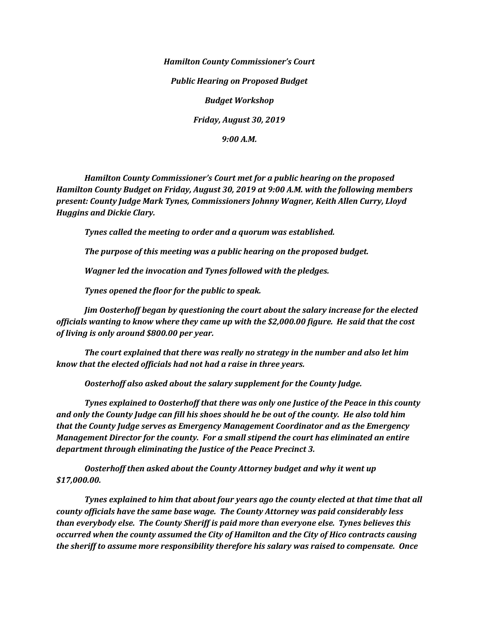*Hamilton County Commissioner's Court Public Hearing on Proposed Budget Budget Workshop Friday, August 30, 2019*

*9:00 A.M.*

*Hamilton County Commissioner's Court met for a public hearing on the proposed Hamilton County Budget on Friday, August 30, 2019 at 9:00 A.M. with the following members present: County Judge Mark Tynes, Commissioners Johnny Wagner, Keith Allen Curry, Lloyd Huggins and Dickie Clary.*

*Tynes called the meeting to order and a quorum was established.*

*The purpose of this meeting was a public hearing on the proposed budget.*

*Wagner led the invocation and Tynes followed with the pledges.*

*Tynes opened the floor for the public to speak.*

*Jim Oosterhoff began by questioning the court about the salary increase for the elected officials wanting to know where they came up with the \$2,000.00 figure. He said that the cost of living is only around \$800.00 per year.*

*The court explained that there was really no strategy in the number and also let him know that the elected officials had not had a raise in three years.*

*Oosterhoff also asked about the salary supplement for the County Judge.*

*Tynes explained to Oosterhoff that there was only one Justice of the Peace in this county and only the County Judge can fill his shoes should he be out of the county. He also told him that the County Judge serves as Emergency Management Coordinator and as the Emergency Management Director for the county. For a small stipend the court has eliminated an entire department through eliminating the Justice of the Peace Precinct 3.*

*Oosterhoff then asked about the County Attorney budget and why it went up \$17,000.00.*

*Tynes explained to him that about four years ago the county elected at that time that all county officials have the same base wage. The County Attorney was paid considerably less than everybody else. The County Sheriff is paid more than everyone else. Tynes believes this occurred when the county assumed the City of Hamilton and the City of Hico contracts causing the sheriff to assume more responsibility therefore his salary was raised to compensate. Once*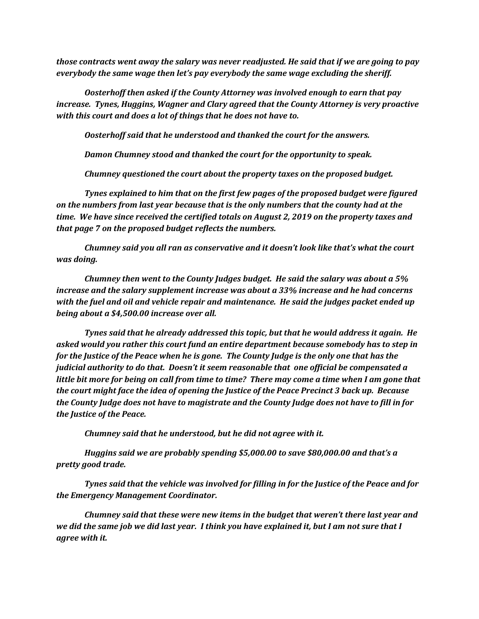*those contracts went away the salary was never readjusted. He said that if we are going to pay everybody the same wage then let's pay everybody the same wage excluding the sheriff.* 

*Oosterhoff then asked if the County Attorney was involved enough to earn that pay increase. Tynes, Huggins, Wagner and Clary agreed that the County Attorney is very proactive with this court and does a lot of things that he does not have to.*

*Oosterhoff said that he understood and thanked the court for the answers.*

*Damon Chumney stood and thanked the court for the opportunity to speak.* 

*Chumney questioned the court about the property taxes on the proposed budget.*

*Tynes explained to him that on the first few pages of the proposed budget were figured on the numbers from last year because that is the only numbers that the county had at the time. We have since received the certified totals on August 2, 2019 on the property taxes and that page 7 on the proposed budget reflects the numbers.*

*Chumney said you all ran as conservative and it doesn't look like that's what the court was doing.* 

*Chumney then went to the County Judges budget. He said the salary was about a 5% increase and the salary supplement increase was about a 33% increase and he had concerns with the fuel and oil and vehicle repair and maintenance. He said the judges packet ended up being about a \$4,500.00 increase over all.* 

*Tynes said that he already addressed this topic, but that he would address it again. He asked would you rather this court fund an entire department because somebody has to step in for the Justice of the Peace when he is gone. The County Judge is the only one that has the judicial authority to do that. Doesn't it seem reasonable that one official be compensated a little bit more for being on call from time to time? There may come a time when I am gone that the court might face the idea of opening the Justice of the Peace Precinct 3 back up. Because the County Judge does not have to magistrate and the County Judge does not have to fill in for the Justice of the Peace.* 

*Chumney said that he understood, but he did not agree with it.*

*Huggins said we are probably spending \$5,000.00 to save \$80,000.00 and that's a pretty good trade.*

*Tynes said that the vehicle was involved for filling in for the Justice of the Peace and for the Emergency Management Coordinator.* 

*Chumney said that these were new items in the budget that weren't there last year and we did the same job we did last year. I think you have explained it, but I am not sure that I agree with it.*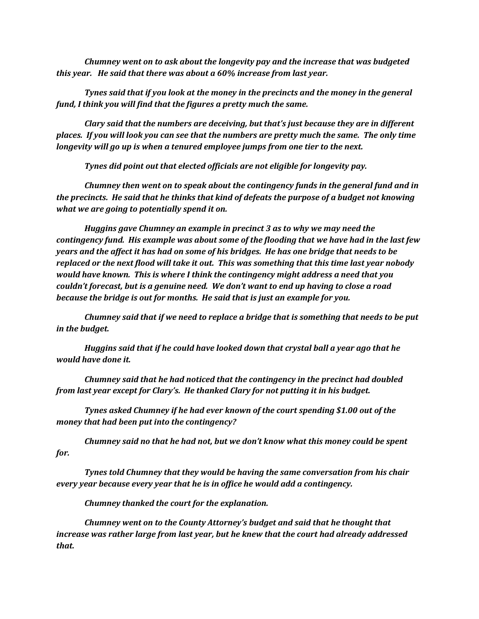*Chumney went on to ask about the longevity pay and the increase that was budgeted this year. He said that there was about a 60% increase from last year.* 

*Tynes said that if you look at the money in the precincts and the money in the general fund, I think you will find that the figures a pretty much the same.*

*Clary said that the numbers are deceiving, but that's just because they are in different places. If you will look you can see that the numbers are pretty much the same. The only time longevity will go up is when a tenured employee jumps from one tier to the next.*

*Tynes did point out that elected officials are not eligible for longevity pay.*

*Chumney then went on to speak about the contingency funds in the general fund and in the precincts. He said that he thinks that kind of defeats the purpose of a budget not knowing what we are going to potentially spend it on.*

*Huggins gave Chumney an example in precinct 3 as to why we may need the contingency fund. His example was about some of the flooding that we have had in the last few years and the affect it has had on some of his bridges. He has one bridge that needs to be replaced or the next flood will take it out. This was something that this time last year nobody would have known. This is where I think the contingency might address a need that you couldn't forecast, but is a genuine need. We don't want to end up having to close a road because the bridge is out for months. He said that is just an example for you.*

*Chumney said that if we need to replace a bridge that is something that needs to be put in the budget.*

*Huggins said that if he could have looked down that crystal ball a year ago that he would have done it.*

*Chumney said that he had noticed that the contingency in the precinct had doubled from last year except for Clary's. He thanked Clary for not putting it in his budget.*

*Tynes asked Chumney if he had ever known of the court spending \$1.00 out of the money that had been put into the contingency?*

*Chumney said no that he had not, but we don't know what this money could be spent for.*

*Tynes told Chumney that they would be having the same conversation from his chair every year because every year that he is in office he would add a contingency.*

*Chumney thanked the court for the explanation.*

*Chumney went on to the County Attorney's budget and said that he thought that increase was rather large from last year, but he knew that the court had already addressed that.*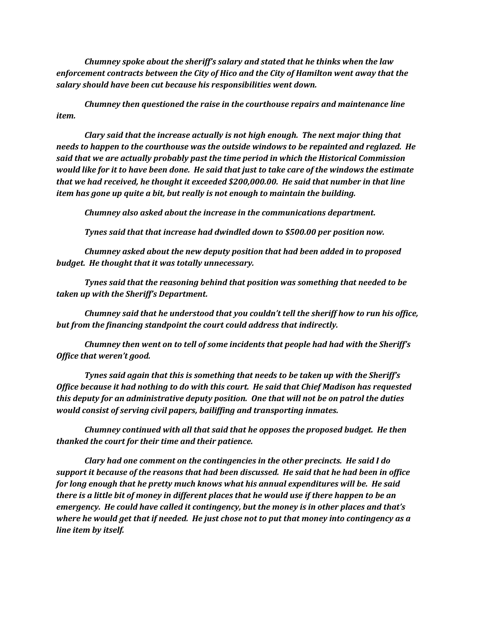*Chumney spoke about the sheriff's salary and stated that he thinks when the law enforcement contracts between the City of Hico and the City of Hamilton went away that the salary should have been cut because his responsibilities went down.* 

*Chumney then questioned the raise in the courthouse repairs and maintenance line item.*

*Clary said that the increase actually is not high enough. The next major thing that needs to happen to the courthouse was the outside windows to be repainted and reglazed. He said that we are actually probably past the time period in which the Historical Commission would like for it to have been done. He said that just to take care of the windows the estimate that we had received, he thought it exceeded \$200,000.00. He said that number in that line item has gone up quite a bit, but really is not enough to maintain the building.*

*Chumney also asked about the increase in the communications department.*

*Tynes said that that increase had dwindled down to \$500.00 per position now.*

*Chumney asked about the new deputy position that had been added in to proposed budget. He thought that it was totally unnecessary.* 

*Tynes said that the reasoning behind that position was something that needed to be taken up with the Sheriff's Department.*

*Chumney said that he understood that you couldn't tell the sheriff how to run his office, but from the financing standpoint the court could address that indirectly.*

*Chumney then went on to tell of some incidents that people had had with the Sheriff's Office that weren't good.*

*Tynes said again that this is something that needs to be taken up with the Sheriff's Office because it had nothing to do with this court. He said that Chief Madison has requested this deputy for an administrative deputy position. One that will not be on patrol the duties would consist of serving civil papers, bailiffing and transporting inmates.* 

*Chumney continued with all that said that he opposes the proposed budget. He then thanked the court for their time and their patience.*

*Clary had one comment on the contingencies in the other precincts. He said I do support it because of the reasons that had been discussed. He said that he had been in office for long enough that he pretty much knows what his annual expenditures will be. He said there is a little bit of money in different places that he would use if there happen to be an emergency. He could have called it contingency, but the money is in other places and that's where he would get that if needed. He just chose not to put that money into contingency as a line item by itself.*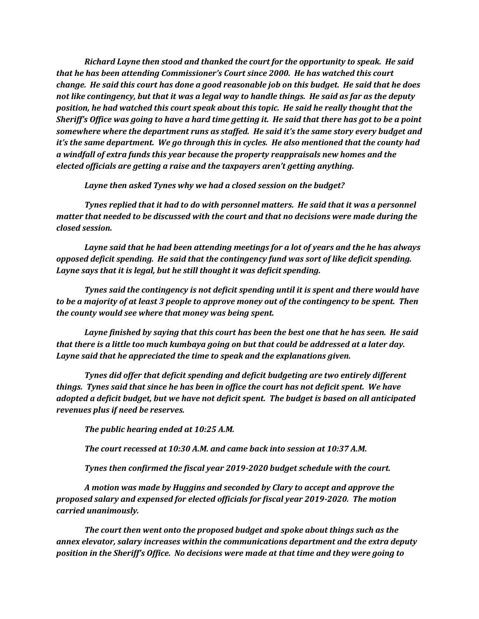*Richard Layne then stood and thanked the court for the opportunity to speak. He said that he has been attending Commissioner's Court since 2000. He has watched this court change. He said this court has done a good reasonable job on this budget. He said that he does not like contingency, but that it was a legal way to handle things. He said as far as the deputy position, he had watched this court speak about this topic. He said he really thought that the Sheriff's Office was going to have a hard time getting it. He said that there has got to be a point somewhere where the department runs as staffed. He said it's the same story every budget and it's the same department. We go through this in cycles. He also mentioned that the county had a windfall of extra funds this year because the property reappraisals new homes and the elected officials are getting a raise and the taxpayers aren't getting anything.*

*Layne then asked Tynes why we had a closed session on the budget?*

*Tynes replied that it had to do with personnel matters. He said that it was a personnel matter that needed to be discussed with the court and that no decisions were made during the closed session.*

*Layne said that he had been attending meetings for a lot of years and the he has always opposed deficit spending. He said that the contingency fund was sort of like deficit spending. Layne says that it is legal, but he still thought it was deficit spending.* 

*Tynes said the contingency is not deficit spending until it is spent and there would have to be a majority of at least 3 people to approve money out of the contingency to be spent. Then the county would see where that money was being spent.* 

*Layne finished by saying that this court has been the best one that he has seen. He said that there is a little too much kumbaya going on but that could be addressed at a later day. Layne said that he appreciated the time to speak and the explanations given.* 

*Tynes did offer that deficit spending and deficit budgeting are two entirely different things. Tynes said that since he has been in office the court has not deficit spent. We have adopted a deficit budget, but we have not deficit spent. The budget is based on all anticipated revenues plus if need be reserves.*

*The public hearing ended at 10:25 A.M.*

*The court recessed at 10:30 A.M. and came back into session at 10:37 A.M.*

*Tynes then confirmed the fiscal year 2019-2020 budget schedule with the court.*

*A motion was made by Huggins and seconded by Clary to accept and approve the proposed salary and expensed for elected officials for fiscal year 2019-2020. The motion carried unanimously.* 

*The court then went onto the proposed budget and spoke about things such as the annex elevator, salary increases within the communications department and the extra deputy position in the Sheriff's Office. No decisions were made at that time and they were going to*